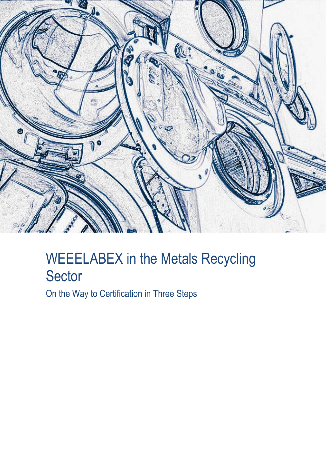

# WEEELABEX in the Metals Recycling Sector

On the Way to Certification in Three Steps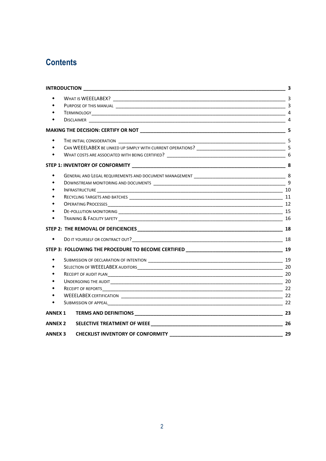# **Contents**

| ٠               |                                          |  |
|-----------------|------------------------------------------|--|
|                 |                                          |  |
| ٠               |                                          |  |
|                 |                                          |  |
|                 |                                          |  |
|                 |                                          |  |
|                 |                                          |  |
|                 |                                          |  |
|                 |                                          |  |
|                 |                                          |  |
|                 |                                          |  |
|                 |                                          |  |
| $\blacklozenge$ |                                          |  |
|                 |                                          |  |
|                 |                                          |  |
|                 |                                          |  |
|                 |                                          |  |
|                 |                                          |  |
|                 |                                          |  |
|                 |                                          |  |
|                 |                                          |  |
| <b>ANNEX 1</b>  |                                          |  |
| <b>ANNEX 2</b>  |                                          |  |
| <b>ANNEX 3</b>  | <b>CHECKLIST INVENTORY OF CONFORMITY</b> |  |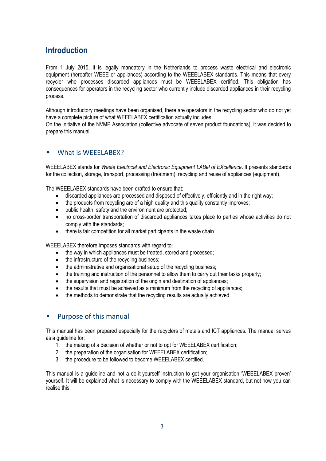# <span id="page-2-0"></span>**Introduction**

From 1 July 2015, it is legally mandatory in the Netherlands to process waste electrical and electronic equipment (hereafter WEEE or appliances) according to the WEEELABEX standards. This means that every recycler who processes discarded appliances must be WEEELABEX certified. This obligation has consequences for operators in the recycling sector who currently include discarded appliances in their recycling process.

Although introductory meetings have been organised, there are operators in the recycling sector who do not yet have a complete picture of what WEEELABEX certification actually includes.

On the initiative of the NVMP Association (collective advocate of seven product foundations), it was decided to prepare this manual.

### <span id="page-2-1"></span>What is WEEELABEX?

WEEELABEX stands for *Waste Electrical and Electronic Equipment LABel of EXcellence*. It presents standards for the collection, storage, transport, processing (treatment), recycling and reuse of appliances (equipment).

The WEEELABEX standards have been drafted to ensure that:

- discarded appliances are processed and disposed of effectively, efficiently and in the right way;
- the products from recycling are of a high quality and this quality constantly improves;
- public health, safety and the environment are protected;
- no cross-border transportation of discarded appliances takes place to parties whose activities do not comply with the standards;
- there is fair competition for all market participants in the waste chain.

WEEELABEX therefore imposes standards with regard to:

- the way in which appliances must be treated, stored and processed;
- the infrastructure of the recycling business;
- the administrative and organisational setup of the recycling business;
- the training and instruction of the personnel to allow them to carry out their tasks properly;
- the supervision and registration of the origin and destination of appliances;
- the results that must be achieved as a minimum from the recycling of appliances;
- the methods to demonstrate that the recycling results are actually achieved.

### <span id="page-2-2"></span>Purpose of this manual

This manual has been prepared especially for the recyclers of metals and ICT appliances. The manual serves as a guideline for:

- 1. the making of a decision of whether or not to opt for WEEELABEX certification;
- 2. the preparation of the organisation for WEEELABEX certification;
- 3. the procedure to be followed to become WEEELABEX certified.

This manual is a guideline and not a do-it-yourself instruction to get your organisation "WEEELABEX proven" yourself. It will be explained what is necessary to comply with the WEEELABEX standard, but not how you can realise this.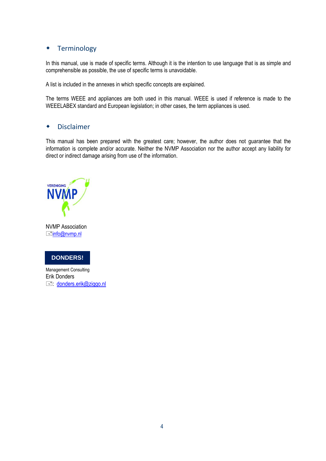# <span id="page-3-0"></span>Terminology

In this manual, use is made of specific terms. Although it is the intention to use language that is as simple and comprehensible as possible, the use of specific terms is unavoidable.

A list is included in the annexes in which specific concepts are explained.

The terms WEEE and appliances are both used in this manual. WEEE is used if reference is made to the WEEELABEX standard and European legislation; in other cases, the term appliances is used.

### <span id="page-3-1"></span>Disclaimer

This manual has been prepared with the greatest care; however, the author does not guarantee that the information is complete and/or accurate. Neither the NVMP Association nor the author accept any liability for direct or indirect damage arising from use of the information.



NVMP Association  $\equiv$ [info@nvmp.nl](mailto:info@nvmp.nl?SUBJECT=Contact%20via%20nvmp.nl&BODY=Uw%20reactie%20hier%3A)



Management Consulting Erik Donders donders.erik@ziggo.nl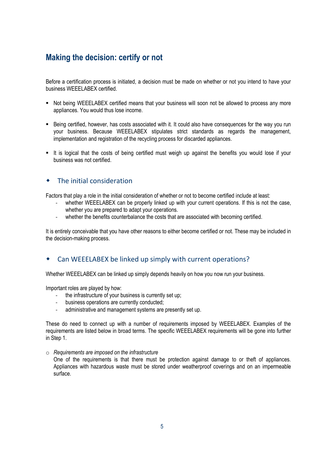# <span id="page-4-0"></span>**Making the decision: certify or not**

Before a certification process is initiated, a decision must be made on whether or not you intend to have your business WEEELABEX certified.

- Not being WEEELABEX certified means that your business will soon not be allowed to process any more appliances. You would thus lose income.
- Being certified, however, has costs associated with it. It could also have consequences for the way you run your business. Because WEEELABEX stipulates strict standards as regards the management, implementation and registration of the recycling process for discarded appliances.
- It is logical that the costs of being certified must weigh up against the benefits you would lose if your business was not certified.

# <span id="page-4-1"></span>The initial consideration

Factors that play a role in the initial consideration of whether or not to become certified include at least:

- whether WEEELABEX can be properly linked up with your current operations. If this is not the case, whether you are prepared to adapt your operations.
- whether the benefits counterbalance the costs that are associated with becoming certified.

It is entirely conceivable that you have other reasons to either become certified or not. These may be included in the decision-making process.

# <span id="page-4-2"></span>Can WEEELABEX be linked up simply with current operations?

Whether WEEELABEX can be linked up simply depends heavily on how you now run your business.

Important roles are played by how:

- the infrastructure of your business is currently set up;
- business operations are currently conducted;
- administrative and management systems are presently set up.

These do need to connect up with a number of requirements imposed by WEEELABEX. Examples of the requirements are listed below in broad terms. The specific WEEELABEX requirements will be gone into further in Step 1.

o *Requirements are imposed on the infrastructure* 

One of the requirements is that there must be protection against damage to or theft of appliances. Appliances with hazardous waste must be stored under weatherproof coverings and on an impermeable surface.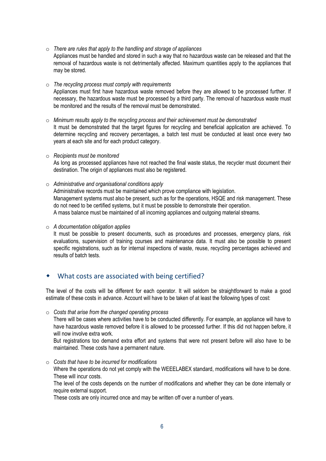o *There are rules that apply to the handling and storage of appliances* Appliances must be handled and stored in such a way that no hazardous waste can be released and that the removal of hazardous waste is not detrimentally affected. Maximum quantities apply to the appliances that may be stored.

o *The recycling process must comply with requirements* Appliances must first have hazardous waste removed before they are allowed to be processed further. If necessary, the hazardous waste must be processed by a third party. The removal of hazardous waste must be monitored and the results of the removal must be demonstrated.

- o *Minimum results apply to the recycling process and their achievement must be demonstrated*  It must be demonstrated that the target figures for recycling and beneficial application are achieved. To determine recycling and recovery percentages, a batch test must be conducted at least once every two years at each site and for each product category.
- o *Recipients must be monitored*  As long as processed appliances have not reached the final waste status, the recycler must document their destination. The origin of appliances must also be registered.
- o *Administrative and organisational conditions apply* Administrative records must be maintained which prove compliance with legislation. Management systems must also be present, such as for the operations, HSQE and risk management. These do not need to be certified systems, but it must be possible to demonstrate their operation. A mass balance must be maintained of all incoming appliances and outgoing material streams.

o *A documentation obligation applies*

It must be possible to present documents, such as procedures and processes, emergency plans, risk evaluations, supervision of training courses and maintenance data. It must also be possible to present specific registrations, such as for internal inspections of waste, reuse, recycling percentages achieved and results of batch tests.

# <span id="page-5-0"></span>What costs are associated with being certified?

The level of the costs will be different for each operator. It will seldom be straightforward to make a good estimate of these costs in advance. Account will have to be taken of at least the following types of cost:

o *Costs that arise from the changed operating process*

There will be cases where activities have to be conducted differently. For example, an appliance will have to have hazardous waste removed before it is allowed to be processed further. If this did not happen before, it will now involve extra work.

But registrations too demand extra effort and systems that were not present before will also have to be maintained. These costs have a permanent nature.

o *Costs that have to be incurred for modifications* Where the operations do not yet comply with the WEEELABEX standard, modifications will have to be done. These will incur costs.

The level of the costs depends on the number of modifications and whether they can be done internally or require external support.

These costs are only incurred once and may be written off over a number of years.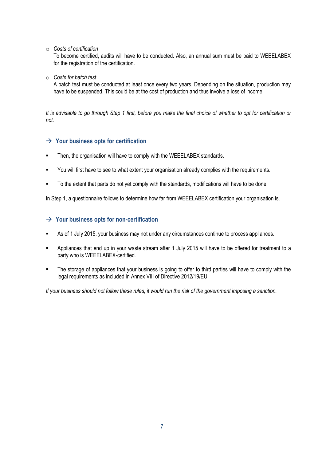o *Costs of certification*

To become certified, audits will have to be conducted. Also, an annual sum must be paid to WEEELABEX for the registration of the certification.

o *Costs for batch test*

A batch test must be conducted at least once every two years. Depending on the situation, production may have to be suspended. This could be at the cost of production and thus involve a loss of income.

*It is advisable to go through Step 1 first, before you make the final choice of whether to opt for certification or not.*

### **Your business opts for certification**

- Then, the organisation will have to comply with the WEEELABEX standards.
- You will first have to see to what extent your organisation already complies with the requirements.
- To the extent that parts do not yet comply with the standards, modifications will have to be done.

In Step 1, a questionnaire follows to determine how far from WEEELABEX certification your organisation is.

#### **Your business opts for non-certification**

- As of 1 July 2015, your business may not under any circumstances continue to process appliances.
- Appliances that end up in your waste stream after 1 July 2015 will have to be offered for treatment to a party who is WEEELABEX-certified.
- The storage of appliances that your business is going to offer to third parties will have to comply with the legal requirements as included in Annex VIII of Directive 2012/19/EU.

*If your business should not follow these rules, it would run the risk of the government imposing a sanction.*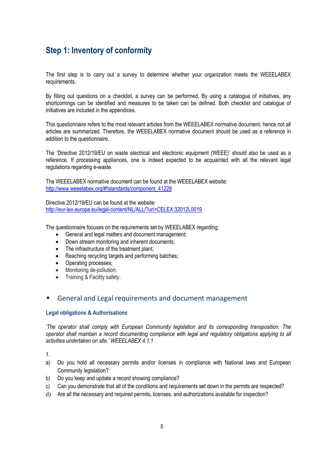# <span id="page-7-0"></span>**Step 1: Inventory of conformity**

The first step is to carry out a survey to determine whether your organization meets the WEEELABEX requirements.

By filling out questions on a checklist, a survey can be performed. By using a catalogue of initiatives, any shortcomings can be identified and measures to be taken can be defined. Both checklist and catalogue of initiatives are included in the appendices.

This questionnaire refers to the most relevant articles from the WEEELABEX normative document, hence not all articles are summarized. Therefore, the WEEELABEX normative document should be used as a reference in addition to the questionnaire.

The "Directive 2012/19/EU on waste electrical and electronic equipment (WEEE)" should also be used as a reference. If processing appliances, one is indeed expected to be acquainted with all the relevant legal regulations regarding e-waste.

The WEEELABEX normative document can be found at the WEEELABEX website: [http://www.weeelabex.org/#!standards/component\\_41229](http://www.weeelabex.org/#!standards/component_41229)

Directive 2012/19/EU can be found at the website: <http://eur-lex.europa.eu/legal-content/NL/ALL/?uri=CELEX:32012L0019>

The questionnaire focuses on the requirements set by WEEELABEX regarding:

- General and legal matters and document management;
- Down stream monitoring and inherent documents;
- The infrastructure of the treatment plant;
- Reaching recycling targets and performing batches;
- Operating processes;
- Monitoring de-pollution;
- Training & Facility safety.

#### <span id="page-7-1"></span>General and Legal requirements and document management

#### **Legal obligations & Authorisations**

*"The operator shall comply with European Community legislation and its corresponding transposition. The operator shall maintain a record documenting compliance with legal and regulatory obligations applying to all activities undertaken on site." WEEELABEX 4.1.1*

1.

- a) Do you hold all necessary permits and/or licenses in compliance with National laws and European Community legislation?
- b) Do you keep and update a record showing compliance?
- c) Can you demonstrate that all of the conditions and requirements set down in the permits are respected?
- d) Are all the necessary and required permits, licenses, and authorizations available for inspection?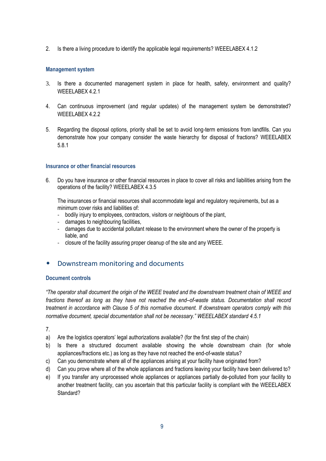2. Is there a living procedure to identify the applicable legal requirements? WEEELABEX 4.1.2

#### **Management system**

- 3. Is there a documented management system in place for health, safety, environment and quality? WEEELABEX 4.2.1
- 4. Can continuous improvement (and regular updates) of the management system be demonstrated? WEEELABEX 4.2.2
- 5. Regarding the disposal options, priority shall be set to avoid long-term emissions from landfills. Can you demonstrate how your company consider the waste hierarchy for disposal of fractions? WEEELABEX 5.8.1

#### **Insurance or other financial resources**

6. Do you have insurance or other financial resources in place to cover all risks and liabilities arising from the operations of the facility? WEEELABEX 4.3.5

The insurances or financial resources shall accommodate legal and regulatory requirements, but as a minimum cover risks and liabilities of:

- bodily injury to employees, contractors, visitors or neighbours of the plant,
- damages to neighbouring facilities,
- damages due to accidental pollutant release to the environment where the owner of the property is liable, and
- closure of the facility assuring proper cleanup of the site and any WEEE.

# <span id="page-8-0"></span>Downstream monitoring and documents

#### **Document controls**

*"The operator shall document the origin of the WEEE treated and the downstream treatment chain of WEEE and fractions thereof as long as they have not reached the end–of-waste status. Documentation shall record treatment in accordance with Clause 5 of this normative document. If downstream operators comply with this normative document, special documentation shall not be necessary." WEEELABEX standard 4.5.1* 

7.

- a) Are the logistics operators' legal authorizations available? (for the first step of the chain)
- b) Is there a structured document available showing the whole downstream chain (for whole appliances/fractions etc.) as long as they have not reached the end-of-waste status?
- c) Can you demonstrate where all of the appliances arising at your facility have originated from?
- d) Can you prove where all of the whole appliances and fractions leaving your facility have been delivered to?
- e) If you transfer any unprocessed whole appliances or appliances partially de-polluted from your facility to another treatment facility, can you ascertain that this particular facility is compliant with the WEEELABEX Standard?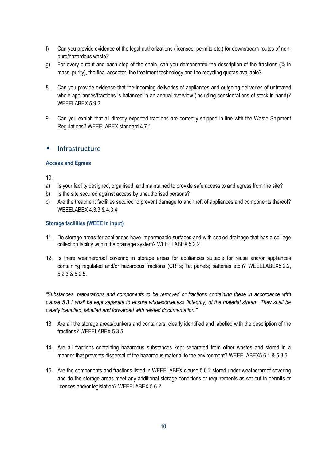- f) Can you provide evidence of the legal authorizations (licenses; permits etc.) for downstream routes of nonpure/hazardous waste?
- g) For every output and each step of the chain, can you demonstrate the description of the fractions (% in mass, purity), the final acceptor, the treatment technology and the recycling quotas available?
- 8. Can you provide evidence that the incoming deliveries of appliances and outgoing deliveries of untreated whole appliances/fractions is balanced in an annual overview (including considerations of stock in hand)? WEEELABEX 5.9.2
- 9. Can you exhibit that all directly exported fractions are correctly shipped in line with the Waste Shipment Regulations? WEEELABEX standard 4.7.1

### <span id="page-9-0"></span>Infrastructure

#### **Access and Egress**

10.

- a) Is your facility designed, organised, and maintained to provide safe access to and egress from the site?
- b) Is the site secured against access by unauthorised persons?
- c) Are the treatment facilities secured to prevent damage to and theft of appliances and components thereof? WEEELABEX 4.3.3 & 4.3.4

#### **Storage facilities (WEEE in input)**

- 11. Do storage areas for appliances have impermeable surfaces and with sealed drainage that has a spillage collection facility within the drainage system? WEEELABEX 5.2.2
- 12. Is there weatherproof covering in storage areas for appliances suitable for reuse and/or appliances containing regulated and/or hazardous fractions (CRTs; flat panels; batteries etc.)? WEEELABEX5.2.2, 5.2.3 & 5.2.5.

*"Substances, preparations and components to be removed or fractions containing these in accordance with clause 5.3.1 shall be kept separate to ensure wholesomeness (integrity) of the material stream. They shall be clearly identified, labelled and forwarded with related documentation."*

- 13. Are all the storage areas/bunkers and containers, clearly identified and labelled with the description of the fractions? WEEELABEX 5.3.5
- 14. Are all fractions containing hazardous substances kept separated from other wastes and stored in a manner that prevents dispersal of the hazardous material to the environment? WEEELABEX5.6.1 & 5.3.5
- 15. Are the components and fractions listed in WEEELABEX clause 5.6.2 stored under weatherproof covering and do the storage areas meet any additional storage conditions or requirements as set out in permits or licences and/or legislation? WEEELABEX 5.6.2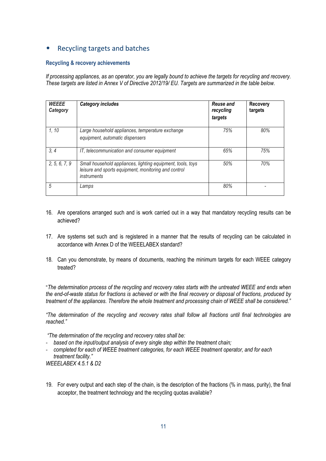# <span id="page-10-0"></span>Recycling targets and batches

#### **Recycling & recovery achievements**

*If processing appliances, as an operator, you are legally bound to achieve the targets for recycling and recovery. These targets are listed in Annex V of Directive 2012/19/ EU. Targets are summarized in the table below.*

| <b>WEEEE</b><br>Category | <b>Category includes</b>                                                                                                                  | <b>Reuse and</b><br>recycling<br>targets | <b>Recovery</b><br>targets |
|--------------------------|-------------------------------------------------------------------------------------------------------------------------------------------|------------------------------------------|----------------------------|
| 1, 10                    | Large household appliances, temperature exchange<br>equipment, automatic dispensers                                                       | 75%                                      | 80%                        |
| 3, 4                     | IT, telecommunication and consumer equipment                                                                                              | 65%                                      | 75%                        |
| 2, 5, 6, 7, 9            | Small household appliances, lighting equipment, tools, toys<br>leisure and sports equipment, monitoring and control<br><i>instruments</i> | 50%                                      | 70%                        |
| 5                        | Lamps                                                                                                                                     | 80%                                      |                            |

- 16. Are operations arranged such and is work carried out in a way that mandatory recycling results can be achieved?
- 17. Are systems set such and is registered in a manner that the results of recycling can be calculated in accordance with Annex D of the WEEELABEX standard?
- 18. Can you demonstrate, by means of documents, reaching the minimum targets for each WEEE category treated?

"*The determination process of the recycling and recovery rates starts with the untreated WEEE and ends when the end-of-waste status for fractions is achieved or with the final recovery or disposal of fractions, produced by treatment of the appliances. Therefore the whole treatment and processing chain of WEEE shall be considered."*

*"The determination of the recycling and recovery rates shall follow all fractions until final technologies are reached."* 

*"The determination of the recycling and recovery rates shall be:*

- *based on the input/output analysis of every single step within the treatment chain;*
- *completed for each of WEEE treatment categories, for each WEEE treatment operator, and for each treatment facility."*

*WEEELABEX 4.5.1 & D2*

19. For every output and each step of the chain, is the description of the fractions (% in mass, purity), the final acceptor, the treatment technology and the recycling quotas available?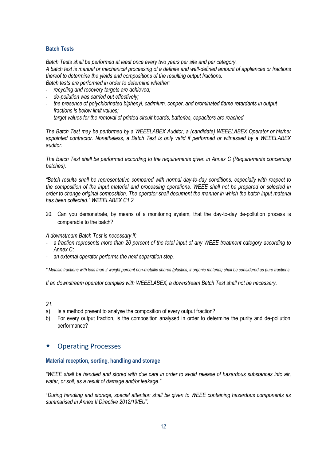#### **Batch Tests**

*Batch Tests shall be performed at least once every two years per site and per category.* 

*A batch test is manual or mechanical processing of a definite and well-defined amount of appliances or fractions thereof to determine the yields and compositions of the resulting output fractions.*

*Batch tests are performed in order to determine whether:*

- *recycling and recovery targets are achieved;*
- *de-pollution was carried out effectively;*
- *the presence of polychlorinated biphenyl, cadmium, copper, and brominated flame retardants in output fractions is below limit values;*
- *target values for the removal of printed circuit boards, batteries, capacitors are reached.*

*The Batch Test may be performed by a WEEELABEX Auditor, a (candidate) WEEELABEX Operator or his/her appointed contractor. Nonetheless, a Batch Test is only valid if performed or witnessed by a WEEELABEX auditor.*

*The Batch Test shall be performed according to the requirements given in Annex C (Requirements concerning batches).*

*"Batch results shall be representative compared with normal day-to-day conditions, especially with respect to the composition of the input material and processing operations. WEEE shall not be prepared or selected in order to change original composition. The operator shall document the manner in which the batch input material has been collected." WEEELABEX C1.2*

20. Can you demonstrate, by means of a monitoring system, that the day-to-day de-pollution process is comparable to the batch?

*A downstream Batch Test is necessary if:*

- *a fraction represents more than 20 percent of the total input of any WEEE treatment category according to Annex C;*
- *an external operator performs the next separation step.*

*\* Metallic fractions with less than 2 weight percent non-metallic shares (plastics, inorganic material) shall be considered as pure fractions.*

*If an downstream operator complies with WEEELABEX, a downstream Batch Test shall not be necessary.* 

- *21.*
- a) Is a method present to analyse the composition of every output fraction?
- b) For every output fraction, is the composition analysed in order to determine the purity and de-pollution performance?

### <span id="page-11-0"></span>Operating Processes

#### **Material reception, sorting, handling and storage**

*"WEEE shall be handled and stored with due care in order to avoid release of hazardous substances into air, water, or soil, as a result of damage and/or leakage."*

"*During handling and storage, special attention shall be given to WEEE containing hazardous components as summarised in Annex II Directive 2012/19/EU".*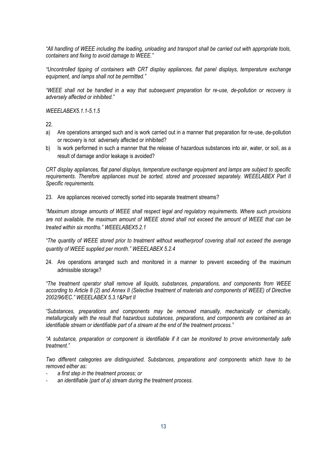*"All handling of WEEE including the loading, unloading and transport shall be carried out with appropriate tools, containers and fixing to avoid damage to WEEE."*

*"Uncontrolled tipping of containers with CRT display appliances, flat panel displays, temperature exchange equipment, and lamps shall not be permitted."*

*"WEEE shall not be handled in a way that subsequent preparation for re-use, de-pollution or recovery is adversely affected or inhibited."*

*WEEELABEX5.1.1-5.1.5*

22.

- a) Are operations arranged such and is work carried out in a manner that preparation for re-use, de-pollution or recovery is not adversely affected or inhibited?
- b) Is work performed in such a manner that the release of hazardous substances into air, water, or soil, as a result of damage and/or leakage is avoided?

*CRT display appliances, flat panel displays, temperature exchange equipment and lamps are subject to specific requirements. Therefore appliances must be sorted, stored and processed separately. WEEELABEX Part II Specific requirements.*

23. Are appliances received correctly sorted into separate treatment streams?

*"Maximum storage amounts of WEEE shall respect legal and regulatory requirements. Where such provisions are not available, the maximum amount of WEEE stored shall not exceed the amount of WEEE that can be treated within six months." WEEELABEX5.2.1*

*"The quantity of WEEE stored prior to treatment without weatherproof covering shall not exceed the average quantity of WEEE supplied per month." WEEELABEX 5.2.4*

24. Are operations arranged such and monitored in a manner to prevent exceeding of the maximum admissible storage?

*"The treatment operator shall remove all liquids, substances, preparations, and components from WEEE according to Article 8 (2) and Annex II (Selective treatment of materials and components of WEEE) of Directive 2002/96/EC." WEEELABEX 5.3.1&Part II*

*"Substances, preparations and components may be removed manually, mechanically or chemically, metallurgically with the result that hazardous substances, preparations, and components are contained as an identifiable stream or identifiable part of a stream at the end of the treatment process."*

*"A substance, preparation or component is identifiable if it can be monitored to prove environmentally safe treatment."*

*Two different categories are distinguished. Substances, preparations and components which have to be removed either as:*

- *a first step in the treatment process; or*
- an identifiable (part of a) stream during the treatment process.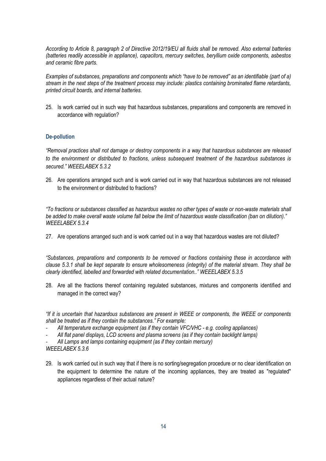*According to Article 8, paragraph 2 of Directive 2012/19/EU all fluids shall be removed. Also external batteries (batteries readily accessible in appliance), capacitors, mercury switches, beryllium oxide components, asbestos and ceramic fibre parts.*

*Examples of substances, preparations and components which "have to be removed" as an identifiable (part of a) stream in the next steps of the treatment process may include: plastics containing brominated flame retardants, printed circuit boards, and internal batteries.*

25. Is work carried out in such way that hazardous substances, preparations and components are removed in accordance with regulation?

#### **De-pollution**

*"Removal practices shall not damage or destroy components in a way that hazardous substances are released to the environment or distributed to fractions, unless subsequent treatment of the hazardous substances is secured." WEEELABEX 5.3.2*

26. Are operations arranged such and is work carried out in way that hazardous substances are not released to the environment or distributed to fractions?

*"To fractions or substances classified as hazardous wastes no other types of waste or non-waste materials shall be added to make overall waste volume fall below the limit of hazardous waste classification (ban on dilution)." WEEELABEX 5.3.4*

27. Are operations arranged such and is work carried out in a way that hazardous wastes are not diluted?

*"Substances, preparations and components to be removed or fractions containing these in accordance with clause 5.3.1 shall be kept separate to ensure wholesomeness (integrity) of the material stream. They shall be clearly identified, labelled and forwarded with related documentation.." WEEELABEX 5.3.5*

28. Are all the fractions thereof containing regulated substances, mixtures and components identified and managed in the correct way?

*"If it is uncertain that hazardous substances are present in WEEE or components, the WEEE or components shall be treated as if they contain the substances." For example:*

- *All temperature exchange equipment (as if they contain VFC/VHC - e.g. cooling appliances)*
- *All flat panel displays, LCD screens and plasma screens (as if they contain backlight lamps)*

- *All Lamps and lamps containing equipment (as if they contain mercury)*

*WEEELABEX 5.3.6*

29. Is work carried out in such way that if there is no sorting/segregation procedure or no clear identification on the equipment to determine the nature of the incoming appliances, they are treated as "regulated" appliances regardless of their actual nature?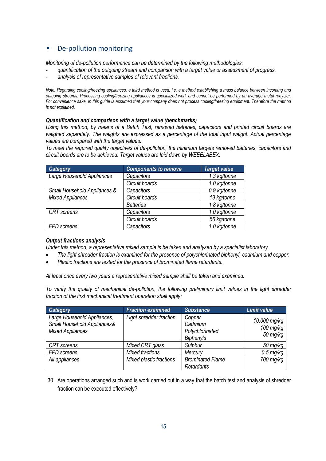# <span id="page-14-0"></span>De-pollution monitoring

*Monitoring of de-pollution performance can be determined by the following methodologies:*

- *quantification of the outgoing stream and comparison with a target value or assessment of progress,*
- *analysis of representative samples of relevant fractions.*

*Note: Regarding cooling/freezing appliances, a third method is used, i.e. a method establishing a mass balance between incoming and outgoing streams. Processing cooling/freezing appliances is specialized work and cannot be performed by an average metal recycler. For convenience sake, in this guide is assumed that your company does not process cooling/freezing equipment. Therefore the method is not explained.* 

#### *Quantification and comparison with a target value (benchmarks)*

*Using this method, by means of a Batch Test, removed batteries, capacitors and printed circuit boards are weighed separately. The weights are expressed as a percentage of the total input weight. Actual percentage values are compared with the target values.*

*To meet the required quality objectives of de-pollution, the minimum targets removed batteries, capacitors and circuit boards are to be achieved. Target values are laid down by WEEELABEX.* 

| <b>Category</b>              | <b>Components to remove</b> | <b>Target value</b> |
|------------------------------|-----------------------------|---------------------|
| Large Household Appliances   | Capacitors                  | 1.3 kg/tonne        |
|                              | Circuit boards              | 1.0 kg/tonne        |
| Small Household Appliances & | Capacitors                  | 0.9 kg/tonne        |
| <b>Mixed Appliances</b>      | Circuit boards              | 19 kg/tonne         |
|                              | <b>Batteries</b>            | 1.8 kg/tonne        |
| <b>CRT</b> screens           | Capacitors                  | 1.0 kg/tonne        |
|                              | Circuit boards              | 56 kg/tonne         |
| <b>FPD</b> screens           | Capacitors                  | 1.0 kg/tonne        |

#### *Output fractions analysis*

*Under this method, a representative mixed sample is be taken and analysed by a specialist laboratory.*

- *The light shredder fraction is examined for the presence of polychlorinated biphenyl, cadmium and copper.*
- *Plastic fractions are tested for the presence of brominated flame retardants.*

*At least once every two years a representative mixed sample shall be taken and examined.*

*To verify the quality of mechanical de-pollution, the following preliminary limit values in the light shredder fraction of the first mechanical treatment operation shall apply:*

| <b>Category</b>                                                                       | <b>Fraction examined</b> | <b>Substance</b>                                         | <b>Limit value</b>                      |
|---------------------------------------------------------------------------------------|--------------------------|----------------------------------------------------------|-----------------------------------------|
| Large Household Appliances,<br>Small Household Appliances&<br><b>Mixed Appliances</b> | Light shredder fraction  | Copper<br>Cadmium<br>Polychlorinated<br><b>Biphenyls</b> | 10,000 mg/kg<br>$100$ mg/kg<br>50 mg/kg |
| <b>CRT</b> screens                                                                    | Mixed CRT glass          | Sulphur                                                  | 50 mg/kg                                |
| FPD screens                                                                           | Mixed fractions          | Mercury                                                  | $0.5$ mg/kg                             |
| All appliances                                                                        | Mixed plastic fractions  | <b>Brominated Flame</b><br>Retardants                    | 700 mg/kg                               |

30. Are operations arranged such and is work carried out in a way that the batch test and analysis of shredder fraction can be executed effectively?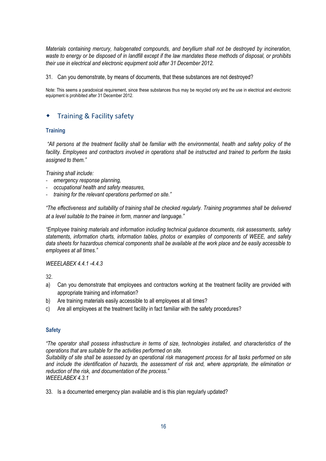*Materials containing mercury, halogenated compounds, and beryllium shall not be destroyed by incineration, waste to energy or be disposed of in landfill except if the law mandates these methods of disposal, or prohibits their use in electrical and electronic equipment sold after 31 December 2012.*

31. Can you demonstrate, by means of documents, that these substances are not destroyed?

Note: This seems a paradoxical requirement, since these substances thus may be recycled only and the use in electrical and electronic equipment is prohibited after 31 December 2012.

# <span id="page-15-0"></span>Training & Facility safety

#### **Training**

*"All persons at the treatment facility shall be familiar with the environmental, health and safety policy of the facility. Employees and contractors involved in operations shall be instructed and trained to perform the tasks assigned to them."*

*Training shall include:* 

- *emergency response planning,*
- *occupational health and safety measures,*
- *training for the relevant operations performed on site."*

*"The effectiveness and suitability of training shall be checked regularly. Training programmes shall be delivered at a level suitable to the trainee in form, manner and language."*

*"Employee training materials and information including technical guidance documents, risk assessments, safety statements, information charts, information tables, photos or examples of components of WEEE, and safety data sheets for hazardous chemical components shall be available at the work place and be easily accessible to employees at all times."*

*WEEELABEX 4.4.1 -4.4.3*

32.

- a) Can you demonstrate that employees and contractors working at the treatment facility are provided with appropriate training and information?
- b) Are training materials easily accessible to all employees at all times?
- c) Are all employees at the treatment facility in fact familiar with the safety procedures?

#### **Safety**

*"The operator shall possess infrastructure in terms of size, technologies installed, and characteristics of the operations that are suitable for the activities performed on site.*

*Suitability of site shall be assessed by an operational risk management process for all tasks performed on site and include the identification of hazards, the assessment of risk and, where appropriate, the elimination or reduction of the risk, and documentation of the process." WEEELABEX 4.3.1*

33. Is a documented emergency plan available and is this plan regularly updated?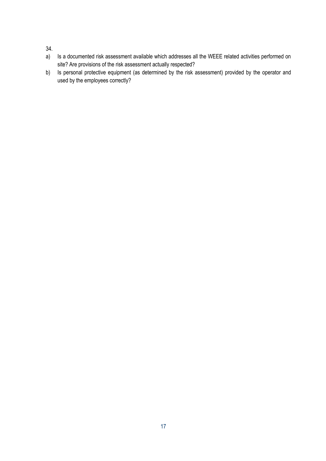34.

- a) Is a documented risk assessment available which addresses all the WEEE related activities performed on site? Are provisions of the risk assessment actually respected?
- b) Is personal protective equipment (as determined by the risk assessment) provided by the operator and used by the employees correctly?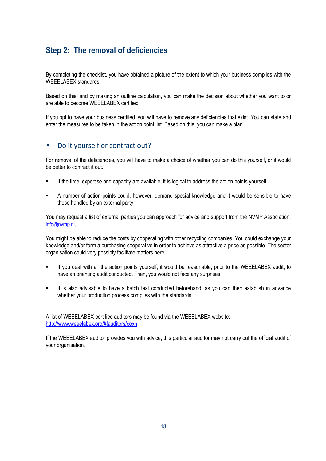# <span id="page-17-0"></span>**Step 2: The removal of deficiencies**

By completing the checklist, you have obtained a picture of the extent to which your business complies with the WEEELABEX standards.

Based on this, and by making an outline calculation, you can make the decision about whether you want to or are able to become WEEELABEX certified.

If you opt to have your business certified, you will have to remove any deficiencies that exist. You can state and enter the measures to be taken in the action point list. Based on this, you can make a plan.

### <span id="page-17-1"></span>Do it yourself or contract out?

For removal of the deficiencies, you will have to make a choice of whether you can do this yourself, or it would be better to contract it out.

- If the time, expertise and capacity are available, it is logical to address the action points yourself.
- A number of action points could, however, demand special knowledge and it would be sensible to have these handled by an external party.

You may request a list of external parties you can approach for advice and support from the NVMP Association: [info@nvmp.nl](mailto:info@nvmp.nl?SUBJECT=Contact%20via%20nvmp.nl&BODY=Uw%20reactie%20hier%3A).

You might be able to reduce the costs by cooperating with other recycling companies. You could exchange your knowledge and/or form a purchasing cooperative in order to achieve as attractive a price as possible. The sector organisation could very possibly facilitate matters here.

- If you deal with all the action points yourself, it would be reasonable, prior to the WEEELABEX audit, to have an orienting audit conducted. Then, you would not face any surprises.
- It is also advisable to have a batch test conducted beforehand, as you can then establish in advance whether your production process complies with the standards.

A list of WEEELABEX-certified auditors may be found via the WEEELABEX website: <http://www.weeelabex.org/#!auditors/coxh>

If the WEEELABEX auditor provides you with advice, this particular auditor may not carry out the official audit of your organisation.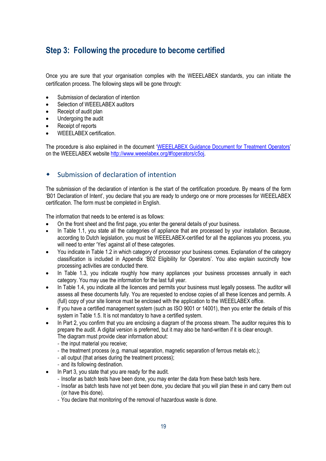# <span id="page-18-0"></span>**Step 3: Following the procedure to become certified**

Once you are sure that your organisation complies with the WEEELABEX standards, you can initiate the certification process. The following steps will be gone through:

- Submission of declaration of intention
- Selection of WEEELABEX auditors
- Receipt of audit plan
- Undergoing the audit
- Receipt of reports
- WEEELABEX certification.

The procedure is also explained in the document '[WEEELABEX Guidance Document for Treatment Operators](http://media.wix.com/ugd/968606_1e1c4f314c374ea4b3f4b241f2f8eb5d.pdf)' on the WEEELABEX websit[e http://www.weeelabex.org/#!operators/c5oj.](http://www.weeelabex.org/#!operators/c5oj)

# <span id="page-18-1"></span>Submission of declaration of intention

The submission of the declaration of intention is the start of the certification procedure. By means of the form "B01 Declaration of Intent", you declare that you are ready to undergo one or more processes for WEEELABEX certification. The form must be completed in English.

The information that needs to be entered is as follows:

- On the front sheet and the first page, you enter the general details of your business.
- In Table 1.1, you state all the categories of appliance that are processed by your installation. Because, according to Dutch legislation, you must be WEEELABEX-certified for all the appliances you process, you will need to enter 'Yes' against all of these categories.
- You indicate in Table 1.2 in which category of processor your business comes. Explanation of the category classification is included in Appendix 'B02 Eligibility for Operators'. You also explain succinctly how processing activities are conducted there.
- In Table 1.3, you indicate roughly how many appliances your business processes annually in each category. You may use the information for the last full year.
- In Table 1.4, you indicate all the licences and permits your business must legally possess. The auditor will assess all these documents fully. You are requested to enclose copies of all these licences and permits. A (full) copy of your site licence must be enclosed with the application to the WEEELABEX office.
- If you have a certified management system (such as ISO 9001 or 14001), then you enter the details of this system in Table 1.5. It is not mandatory to have a certified system.
- In Part 2, you confirm that you are enclosing a diagram of the process stream. The auditor requires this to prepare the audit. A digital version is preferred, but it may also be hand-written if it is clear enough. The diagram must provide clear information about:
	- the input material you receive;
	- the treatment process (e.g. manual separation, magnetic separation of ferrous metals etc.);
	- all output (that arises during the treatment process);
	- and its following destination.
- In Part 3, you state that you are ready for the audit.
	- Insofar as batch tests have been done, you may enter the data from these batch tests here.
	- Insofar as batch tests have not yet been done, you declare that you will plan these in and carry them out (or have this done).
	- You declare that monitoring of the removal of hazardous waste is done.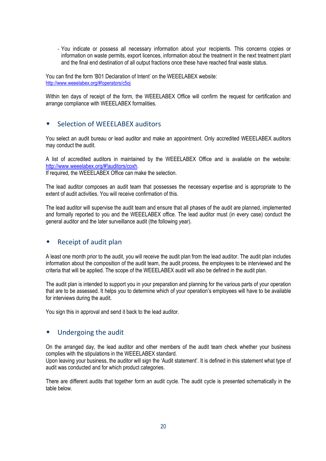- You indicate or possess all necessary information about your recipients. This concerns copies or information on waste permits, export licences, information about the treatment in the next treatment plant and the final end destination of all output fractions once these have reached final waste status.

You can find the form "B01 Declaration of Intent" on the WEEELABEX website: <http://www.weeelabex.org/#!operators/c5oj>

Within ten days of receipt of the form, the WEEELABEX Office will confirm the request for certification and arrange compliance with WEEELABEX formalities.

# <span id="page-19-0"></span>Selection of WEEELABEX auditors

You select an audit bureau or lead auditor and make an appointment. Only accredited WEEELABEX auditors may conduct the audit.

A list of accredited auditors in maintained by the WEEELABEX Office and is available on the website: [http://www.weeelabex.org/#!auditors/coxh.](http://www.weeelabex.org/#!auditors/coxh)

If required, the WEEELABEX Office can make the selection.

The lead auditor composes an audit team that possesses the necessary expertise and is appropriate to the extent of audit activities. You will receive confirmation of this.

The lead auditor will supervise the audit team and ensure that all phases of the audit are planned, implemented and formally reported to you and the WEEELABEX office. The lead auditor must (in every case) conduct the general auditor and the later surveillance audit (the following year).

### <span id="page-19-1"></span>Receipt of audit plan

A least one month prior to the audit, you will receive the audit plan from the lead auditor. The audit plan includes information about the composition of the audit team, the audit process, the employees to be interviewed and the criteria that will be applied. The scope of the WEEELABEX audit will also be defined in the audit plan.

The audit plan is intended to support you in your preparation and planning for the various parts of your operation that are to be assessed. It helps you to determine which of your operation"s employees will have to be available for interviews during the audit.

You sign this in approval and send it back to the lead auditor.

### <span id="page-19-2"></span>Undergoing the audit

On the arranged day, the lead auditor and other members of the audit team check whether your business complies with the stipulations in the WEEELABEX standard.

Upon leaving your business, the auditor will sign the "Audit statement". It is defined in this statement what type of audit was conducted and for which product categories.

There are different audits that together form an audit cycle. The audit cycle is presented schematically in the table below.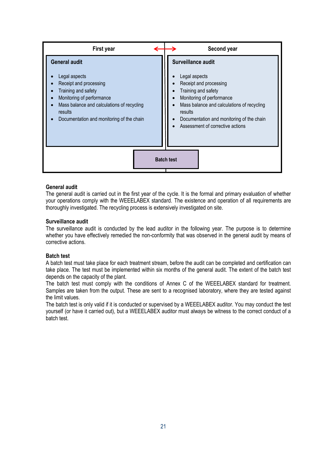| First year                                                                                                                                                                                                                | Second year                                                                                                                                                                                                                                                 |
|---------------------------------------------------------------------------------------------------------------------------------------------------------------------------------------------------------------------------|-------------------------------------------------------------------------------------------------------------------------------------------------------------------------------------------------------------------------------------------------------------|
| <b>General audit</b><br>Legal aspects<br>Receipt and processing<br>Training and safety<br>Monitoring of performance<br>Mass balance and calculations of recycling<br>results<br>Documentation and monitoring of the chain | Surveillance audit<br>Legal aspects<br>Receipt and processing<br>Training and safety<br>Monitoring of performance<br>Mass balance and calculations of recycling<br>results<br>Documentation and monitoring of the chain<br>Assessment of corrective actions |
|                                                                                                                                                                                                                           | <b>Batch test</b>                                                                                                                                                                                                                                           |

#### **General audit**

The general audit is carried out in the first year of the cycle. It is the formal and primary evaluation of whether your operations comply with the WEEELABEX standard. The existence and operation of all requirements are thoroughly investigated. The recycling process is extensively investigated on site.

#### **Surveillance audit**

The surveillance audit is conducted by the lead auditor in the following year. The purpose is to determine whether you have effectively remedied the non-conformity that was observed in the general audit by means of corrective actions.

#### **Batch test**

A batch test must take place for each treatment stream, before the audit can be completed and certification can take place. The test must be implemented within six months of the general audit. The extent of the batch test depends on the capacity of the plant.

The batch test must comply with the conditions of Annex C of the WEEELABEX standard for treatment. Samples are taken from the output. These are sent to a recognised laboratory, where they are tested against the limit values.

The batch test is only valid if it is conducted or supervised by a WEEELABEX auditor. You may conduct the test yourself (or have it carried out), but a WEEELABEX auditor must always be witness to the correct conduct of a batch test.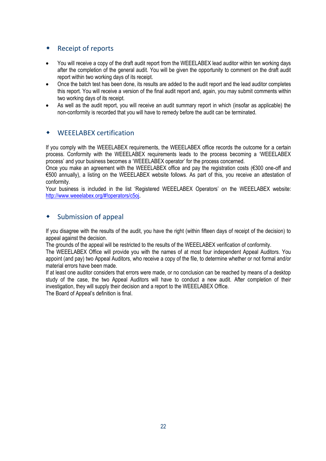# <span id="page-21-0"></span>◆ Receipt of reports

- You will receive a copy of the draft audit report from the WEEELABEX lead auditor within ten working days after the completion of the general audit. You will be given the opportunity to comment on the draft audit report within two working days of its receipt.
- Once the batch test has been done, its results are added to the audit report and the lead auditor completes this report. You will receive a version of the final audit report and, again, you may submit comments within two working days of its receipt.
- As well as the audit report, you will receive an audit summary report in which (insofar as applicable) the non-conformity is recorded that you will have to remedy before the audit can be terminated.

### <span id="page-21-1"></span>WEEELABEX certification

If you comply with the WEEELABEX requirements, the WEEELABEX office records the outcome for a certain process. Conformity with the WEEELABEX requirements leads to the process becoming a "WEEELABEX process" and your business becomes a "WEEELABEX operator" for the process concerned.

Once you make an agreement with the WEEELABEX office and pay the registration costs (€300 one-off and €500 annually), a listing on the WEEELABEX website follows. As part of this, you receive an attestation of conformity.

Your business is included in the list "Registered [WEEELABEX](http://media.wix.com/ugd/968606_0a84f89d46f84d93bcff437eb9360547.pdf) [Operators](http://media.wix.com/ugd/968606_0a84f89d46f84d93bcff437eb9360547.pdf)" on the WEEELABEX website: <http://www.weeelabex.org/#!operators/c5oj>.

### <span id="page-21-2"></span>Submission of appeal

If you disagree with the results of the audit, you have the right (within fifteen days of receipt of the decision) to appeal against the decision.

The grounds of the appeal will be restricted to the results of the WEEELABEX verification of conformity.

The WEEELABEX Office will provide you with the names of at most four independent Appeal Auditors. You appoint (and pay) two Appeal Auditors, who receive a copy of the file, to determine whether or not formal and/or material errors have been made.

If at least one auditor considers that errors were made, or no conclusion can be reached by means of a desktop study of the case, the two Appeal Auditors will have to conduct a new audit. After completion of their investigation, they will supply their decision and a report to the WEEELABEX Office.

The Board of Appeal"s definition is final.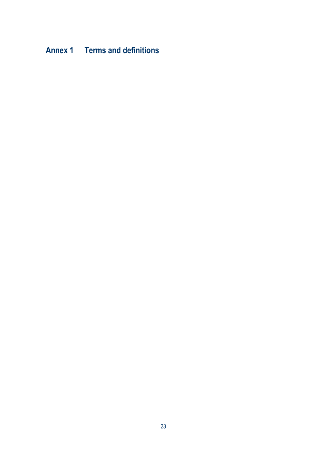# <span id="page-22-0"></span>**Annex 1 Terms and definitions**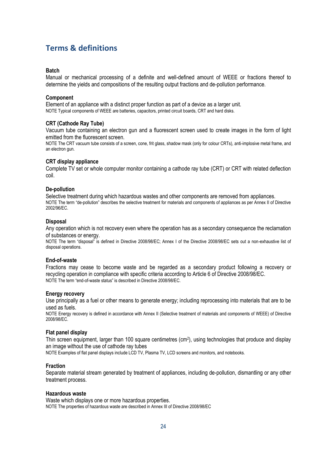# **Terms & definitions**

#### **Batch**

Manual or mechanical processing of a definite and well-defined amount of WEEE or fractions thereof to determine the yields and compositions of the resulting output fractions and de-pollution performance.

#### **Component**

Element of an appliance with a distinct proper function as part of a device as a larger unit. NOTE Typical components of WEEE are batteries, capacitors, printed circuit boards, CRT and hard disks.

#### **CRT (Cathode Ray Tube)**

Vacuum tube containing an electron gun and a fluorescent screen used to create images in the form of light emitted from the fluorescent screen.

NOTE The CRT vacuum tube consists of a screen, cone, frit glass, shadow mask (only for colour CRTs), anti-implosive metal frame, and an electron gun.

#### **CRT display appliance**

Complete TV set or whole computer monitor containing a cathode ray tube (CRT) or CRT with related deflection coil.

#### **De-pollution**

Selective treatment during which hazardous wastes and other components are removed from appliances. NOTE The term "de-pollution" describes the selective treatment for materials and components of appliances as per Annex II of Directive 2002/96/EC.

#### **Disposal**

Any operation which is not recovery even where the operation has as a secondary consequence the reclamation of substances or energy.

NOTE The term "disposal" is defined in Directive 2008/98/EC; Annex I of the Directive 2008/98/EC sets out a non-exhaustive list of disposal operations.

#### **End-of-waste**

Fractions may cease to become waste and be regarded as a secondary product following a recovery or recycling operation in compliance with specific criteria according to Article 6 of Directive 2008/98/EC. NOTE The term "end-of-waste status" is described in Directive 2008/98/EC.

#### **Energy recovery**

Use principally as a fuel or other means to generate energy; including reprocessing into materials that are to be used as fuels.

NOTE Energy recovery is defined in accordance with Annex II (Selective treatment of materials and components of WEEE) of Directive 2008/98/EC.

#### **Flat panel display**

Thin screen equipment, larger than 100 square centimetres (cm<sup>2</sup>), using technologies that produce and display an image without the use of cathode ray tubes

NOTE Examples of flat panel displays include LCD TV, Plasma TV, LCD screens and monitors, and notebooks.

#### **Fraction**

Separate material stream generated by treatment of appliances, including de-pollution, dismantling or any other treatment process.

#### **Hazardous waste**

Waste which displays one or more hazardous properties. NOTE The properties of hazardous waste are described in Annex III of Directive 2008/98/EC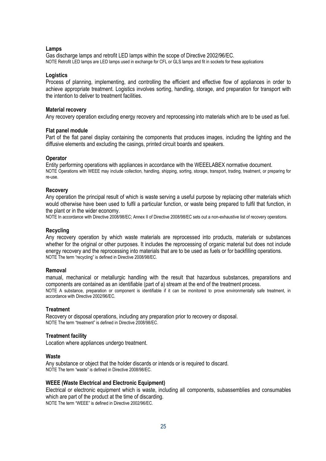#### **Lamps**

Gas discharge lamps and retrofit LED lamps within the scope of Directive 2002/96/EC. NOTE Retrofit LED lamps are LED lamps used in exchange for CFL or GLS lamps and fit in sockets for these applications

#### **Logistics**

Process of planning, implementing, and controlling the efficient and effective flow of appliances in order to achieve appropriate treatment. Logistics involves sorting, handling, storage, and preparation for transport with the intention to deliver to treatment facilities.

#### **Material recovery**

Any recovery operation excluding energy recovery and reprocessing into materials which are to be used as fuel.

#### **Flat panel module**

Part of the flat panel display containing the components that produces images, including the lighting and the diffusive elements and excluding the casings, printed circuit boards and speakers.

#### **Operator**

Entity performing operations with appliances in accordance with the WEEELABEX normative document. NOTE Operations with WEEE may include collection, handling, shipping, sorting, storage, transport, trading, treatment, or preparing for re-use.

#### **Recovery**

Any operation the principal result of which is waste serving a useful purpose by replacing other materials which would otherwise have been used to fulfil a particular function, or waste being prepared to fulfil that function, in the plant or in the wider economy.

NOTE In accordance with Directive 2008/98/EC; Annex II of Directive 2008/98/EC sets out a non-exhaustive list of recovery operations.

#### **Recycling**

Any recovery operation by which waste materials are reprocessed into products, materials or substances whether for the original or other purposes. It includes the reprocessing of organic material but does not include energy recovery and the reprocessing into materials that are to be used as fuels or for backfilling operations. NOTE The term "recycling" is defined in Directive 2008/98/EC.

#### **Removal**

manual, mechanical or metallurgic handling with the result that hazardous substances, preparations and components are contained as an identifiable (part of a) stream at the end of the treatment process. NOTE A substance, preparation or component is identifiable if it can be monitored to prove environmentally safe treatment, in accordance with Directive 2002/96/EC.

#### **Treatment**

Recovery or disposal operations, including any preparation prior to recovery or disposal. NOTE The term "treatment" is defined in Directive 2008/98/EC.

#### **Treatment facility**

Location where appliances undergo treatment.

#### **Waste**

Any substance or object that the holder discards or intends or is required to discard. NOTE The term "waste" is defined in Directive 2008/98/EC.

#### **WEEE (Waste Electrical and Electronic Equipment)**

Electrical or electronic equipment which is waste, including all components, subassemblies and consumables which are part of the product at the time of discarding. NOTE The term "WEEE" is defined in Directive 2002/96/EC.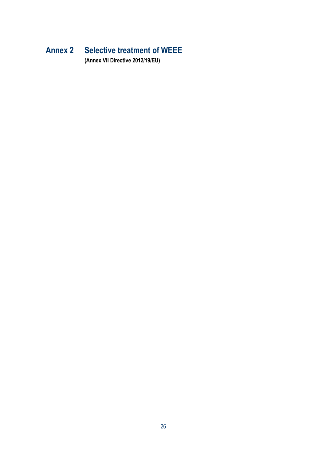# <span id="page-25-0"></span>**Annex 2 Selective treatment of WEEE**

**(Annex VII Directive 2012/19/EU)**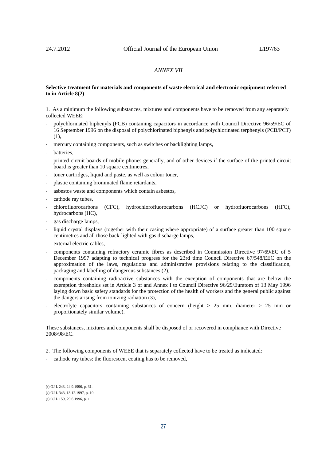#### *ANNEX VII*

#### **Selective treatment for materials and components of waste electrical and electronic equipment referred to in Article 8(2)**

1. As a minimum the following substances, mixtures and components have to be removed from any separately collected WEEE:

- polychlorinated biphenyls (PCB) containing capacitors in accordance with Council Directive 96/59/EC of 16 September 1996 on the disposal of polychlorinated biphenyls and polychlorinated terphenyls (PCB/PCT) (1),
- mercury containing components, such as switches or backlighting lamps,
- batteries,
- printed circuit boards of mobile phones generally, and of other devices if the surface of the printed circuit board is greater than 10 square centimetres,
- toner cartridges, liquid and paste, as well as colour toner,
- plastic containing brominated flame retardants,
- asbestos waste and components which contain asbestos,
- cathode ray tubes,
- chlorofluorocarbons (CFC), hydrochlorofluorocarbons (HCFC) or hydrofluorocarbons (HFC), hydrocarbons (HC),
- gas discharge lamps,
- liquid crystal displays (together with their casing where appropriate) of a surface greater than 100 square centimetres and all those back-lighted with gas discharge lamps,
- external electric cables,
- components containing refractory ceramic fibres as described in Commission Directive 97/69/EC of 5 December 1997 adapting to technical progress for the 23rd time Council Directive 67/548/EEC on the approximation of the laws, regulations and administrative provisions relating to the classification, packaging and labelling of dangerous substances (2),
- components containing radioactive substances with the exception of components that are below the exemption thresholds set in Article 3 of and Annex I to Council Directive 96/29/Euratom of 13 May 1996 laying down basic safety standards for the protection of the health of workers and the general public against the dangers arising from ionizing radiation (3),
- electrolyte capacitors containing substances of concern (height  $> 25$  mm, diameter  $> 25$  mm or proportionately similar volume).

These substances, mixtures and components shall be disposed of or recovered in compliance with Directive 2008/98/EC.

- 2. The following components of WEEE that is separately collected have to be treated as indicated:
- cathode ray tubes: the fluorescent coating has to be removed,

<sup>(</sup>1) OJ L 243, 24.9.1996, p. 31. (2) OJ L 343, 13.12.1997, p. 19. (3) OJ L 159, 29.6.1996, p. 1.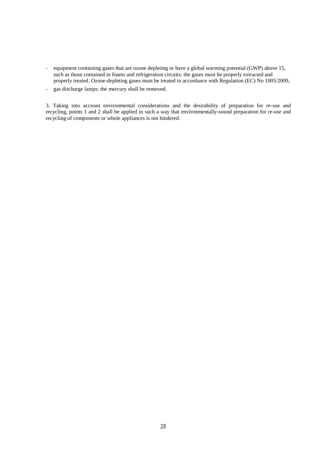- equipment containing gases that are ozone depleting or have a global warming potential (GWP) above 15, such as those contained in foams and refrigeration circuits: the gases must be properly extracted and properly treated. Ozone-depleting gases must be treated in accordance with Regulation (EC) No 1005/2009,
- gas discharge lamps: the mercury shall be removed.

3. Taking into account environmental considerations and the desirability of preparation for re-use and recycling, points 1 and 2 shall be applied in such a way that environmentally-sound preparation for re-use and recycling of components or whole appliances is not hindered.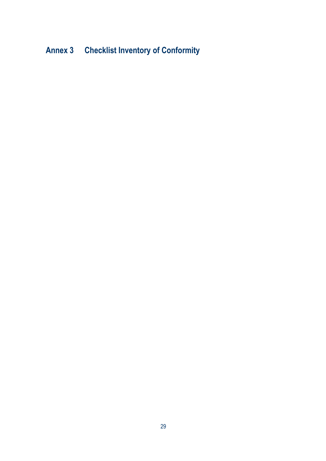# <span id="page-28-0"></span>**Annex 3 Checklist Inventory of Conformity**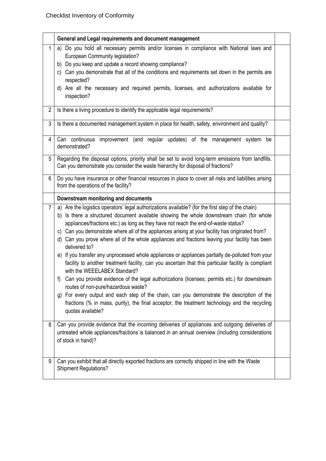|              | General and Legal requirements and document management                                                                                                                                                                                                                                                                                                                                                                                                                                                       |  |
|--------------|--------------------------------------------------------------------------------------------------------------------------------------------------------------------------------------------------------------------------------------------------------------------------------------------------------------------------------------------------------------------------------------------------------------------------------------------------------------------------------------------------------------|--|
| $\mathbf{1}$ | Do you hold all necessary permits and/or licenses in compliance with National laws and<br>a)<br>European Community legislation?<br>b) Do you keep and update a record showing compliance?                                                                                                                                                                                                                                                                                                                    |  |
|              | Can you demonstrate that all of the conditions and requirements set down in the permits are<br>C)<br>respected?                                                                                                                                                                                                                                                                                                                                                                                              |  |
|              | d) Are all the necessary and required permits, licenses, and authorizations available for<br>inspection?                                                                                                                                                                                                                                                                                                                                                                                                     |  |
| 2            | Is there a living procedure to identify the applicable legal requirements?                                                                                                                                                                                                                                                                                                                                                                                                                                   |  |
| 3            | Is there a documented management system in place for health, safety, environment and quality?                                                                                                                                                                                                                                                                                                                                                                                                                |  |
| 4            | Can continuous<br>improvement (and regular updates) of the management system be<br>demonstrated?                                                                                                                                                                                                                                                                                                                                                                                                             |  |
| 5            | Regarding the disposal options, priority shall be set to avoid long-term emissions from landfills.<br>Can you demonstrate you consider the waste hierarchy for disposal of fractions?                                                                                                                                                                                                                                                                                                                        |  |
| 6            | Do you have insurance or other financial resources in place to cover all risks and liabilities arising<br>from the operations of the facility?                                                                                                                                                                                                                                                                                                                                                               |  |
|              | Downstream monitoring and documents                                                                                                                                                                                                                                                                                                                                                                                                                                                                          |  |
| 7            | a) Are the logistics operators' legal authorizations available? (for the first step of the chain)<br>b) Is there a structured document available showing the whole downstream chain (for whole<br>appliances/fractions etc.) as long as they have not reach the end-of-waste status?<br>c) Can you demonstrate where all of the appliances arising at your facility has originated from?<br>d) Can you prove where all of the whole appliances and fractions leaving your facility has been<br>delivered to? |  |
|              | e) If you transfer any unprocessed whole appliances or appliances partially de-polluted from your<br>facility to another treatment facility, can you ascertain that this particular facility is compliant<br>with the WEEELABEX Standard?                                                                                                                                                                                                                                                                    |  |
|              | Can you provide evidence of the legal authorizations (licenses; permits etc.) for downstream<br>routes of non-pure/hazardous waste?                                                                                                                                                                                                                                                                                                                                                                          |  |
|              | g) For every output and each step of the chain, can you demonstrate the description of the<br>fractions (% in mass, purity), the final acceptor, the treatment technology and the recycling<br>quotas available?                                                                                                                                                                                                                                                                                             |  |
| 8            | Can you provide evidence that the incoming deliveries of appliances and outgoing deliveries of<br>untreated whole appliances/fractions is balanced in an annual overview (including considerations<br>of stock in hand)?                                                                                                                                                                                                                                                                                     |  |
| 9            | Can you exhibit that all directly exported fractions are correctly shipped in line with the Waste<br><b>Shipment Regulations?</b>                                                                                                                                                                                                                                                                                                                                                                            |  |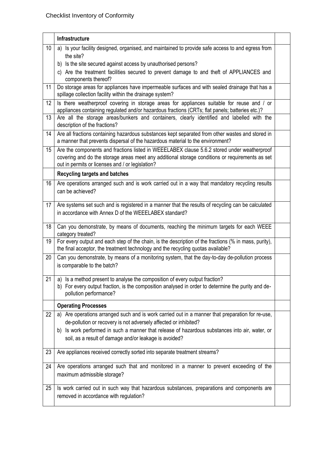|    | Infrastructure                                                                                                                                                                                                                                                                                                                |  |
|----|-------------------------------------------------------------------------------------------------------------------------------------------------------------------------------------------------------------------------------------------------------------------------------------------------------------------------------|--|
| 10 | a) Is your facility designed, organised, and maintained to provide safe access to and egress from<br>the site?<br>b) Is the site secured against access by unauthorised persons?<br>c) Are the treatment facilities secured to prevent damage to and theft of APPLIANCES and<br>components thereof?                           |  |
| 11 | Do storage areas for appliances have impermeable surfaces and with sealed drainage that has a<br>spillage collection facility within the drainage system?                                                                                                                                                                     |  |
| 12 | Is there weatherproof covering in storage areas for appliances suitable for reuse and / or<br>appliances containing regulated and/or hazardous fractions (CRTs; flat panels; batteries etc.)?                                                                                                                                 |  |
| 13 | Are all the storage areas/bunkers and containers, clearly identified and labelled with the<br>description of the fractions?                                                                                                                                                                                                   |  |
| 14 | Are all fractions containing hazardous substances kept separated from other wastes and stored in<br>a manner that prevents dispersal of the hazardous material to the environment?                                                                                                                                            |  |
| 15 | Are the components and fractions listed in WEEELABEX clause 5.6.2 stored under weatherproof<br>covering and do the storage areas meet any additional storage conditions or requirements as set<br>out in permits or licenses and / or legislation?                                                                            |  |
|    | <b>Recycling targets and batches</b>                                                                                                                                                                                                                                                                                          |  |
| 16 | Are operations arranged such and is work carried out in a way that mandatory recycling results<br>can be achieved?                                                                                                                                                                                                            |  |
| 17 | Are systems set such and is registered in a manner that the results of recycling can be calculated<br>in accordance with Annex D of the WEEELABEX standard?                                                                                                                                                                   |  |
| 18 | Can you demonstrate, by means of documents, reaching the minimum targets for each WEEE<br>category treated?                                                                                                                                                                                                                   |  |
| 19 | For every output and each step of the chain, is the description of the fractions (% in mass, purity),<br>the final acceptor, the treatment technology and the recycling quotas available?                                                                                                                                     |  |
| 20 | Can you demonstrate, by means of a monitoring system, that the day-to-day de-pollution process<br>is comparable to the batch?                                                                                                                                                                                                 |  |
|    | $21$ a) Is a method present to analyse the composition of every output fraction?<br>b) For every output fraction, is the composition analysed in order to determine the purity and de-<br>pollution performance?                                                                                                              |  |
|    | <b>Operating Processes</b>                                                                                                                                                                                                                                                                                                    |  |
| 22 | Are operations arranged such and is work carried out in a manner that preparation for re-use,<br>de-pollution or recovery is not adversely affected or inhibited?<br>b) Is work performed in such a manner that release of hazardous substances into air, water, or<br>soil, as a result of damage and/or leakage is avoided? |  |
| 23 | Are appliances received correctly sorted into separate treatment streams?                                                                                                                                                                                                                                                     |  |
| 24 | Are operations arranged such that and monitored in a manner to prevent exceeding of the<br>maximum admissible storage?                                                                                                                                                                                                        |  |
| 25 | Is work carried out in such way that hazardous substances, preparations and components are<br>removed in accordance with regulation?                                                                                                                                                                                          |  |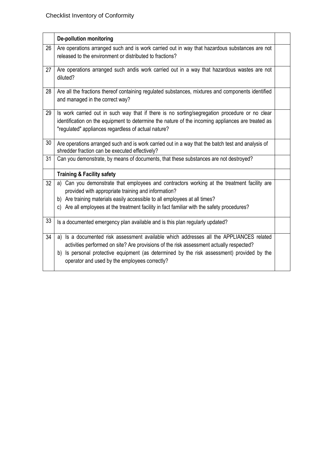|    | <b>De-pollution monitoring</b>                                                                                                                                                                                                                                                                                                          |  |
|----|-----------------------------------------------------------------------------------------------------------------------------------------------------------------------------------------------------------------------------------------------------------------------------------------------------------------------------------------|--|
| 26 | Are operations arranged such and is work carried out in way that hazardous substances are not<br>released to the environment or distributed to fractions?                                                                                                                                                                               |  |
| 27 | Are operations arranged such andis work carried out in a way that hazardous wastes are not<br>diluted?                                                                                                                                                                                                                                  |  |
| 28 | Are all the fractions thereof containing regulated substances, mixtures and components identified<br>and managed in the correct way?                                                                                                                                                                                                    |  |
| 29 | Is work carried out in such way that if there is no sorting/segregation procedure or no clear<br>identification on the equipment to determine the nature of the incoming appliances are treated as<br>"regulated" appliances regardless of actual nature?                                                                               |  |
| 30 | Are operations arranged such and is work carried out in a way that the batch test and analysis of<br>shredder fraction can be executed effectively?                                                                                                                                                                                     |  |
| 31 | Can you demonstrate, by means of documents, that these substances are not destroyed?                                                                                                                                                                                                                                                    |  |
|    | <b>Training &amp; Facility safety</b>                                                                                                                                                                                                                                                                                                   |  |
| 32 | Can you demonstrate that employees and contractors working at the treatment facility are<br>a)<br>provided with appropriate training and information?<br>b) Are training materials easily accessible to all employees at all times?                                                                                                     |  |
|    | Are all employees at the treatment facility in fact familiar with the safety procedures?<br>C)                                                                                                                                                                                                                                          |  |
| 33 | Is a documented emergency plan available and is this plan regularly updated?                                                                                                                                                                                                                                                            |  |
| 34 | Is a documented risk assessment available which addresses all the APPLIANCES related<br>a)<br>activities performed on site? Are provisions of the risk assessment actually respected?<br>Is personal protective equipment (as determined by the risk assessment) provided by the<br>b)<br>operator and used by the employees correctly? |  |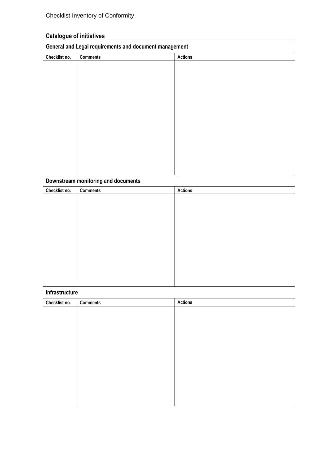# **Catalogue of initiatives**

|                | General and Legal requirements and document management |                |
|----------------|--------------------------------------------------------|----------------|
| Checklist no.  | <b>Comments</b>                                        | <b>Actions</b> |
|                |                                                        |                |
|                |                                                        |                |
|                |                                                        |                |
|                |                                                        |                |
|                |                                                        |                |
|                |                                                        |                |
|                |                                                        |                |
|                |                                                        |                |
|                |                                                        |                |
|                |                                                        |                |
|                |                                                        |                |
|                |                                                        |                |
|                |                                                        |                |
|                | Downstream monitoring and documents                    |                |
| Checklist no.  | <b>Comments</b>                                        | <b>Actions</b> |
|                |                                                        |                |
|                |                                                        |                |
|                |                                                        |                |
|                |                                                        |                |
|                |                                                        |                |
|                |                                                        |                |
|                |                                                        |                |
|                |                                                        |                |
|                |                                                        |                |
|                |                                                        |                |
| Infrastructure |                                                        |                |
| Checklist no.  | <b>Comments</b>                                        | <b>Actions</b> |
|                |                                                        |                |
|                |                                                        |                |
|                |                                                        |                |
|                |                                                        |                |
|                |                                                        |                |
|                |                                                        |                |
|                |                                                        |                |
|                |                                                        |                |
|                |                                                        |                |
|                |                                                        |                |
|                |                                                        |                |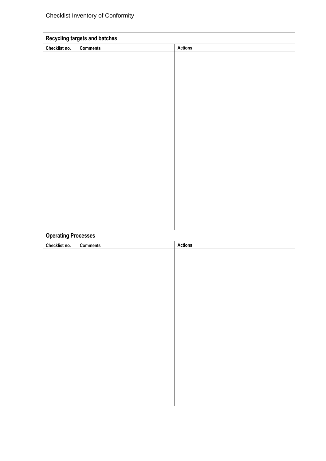|                            | <b>Recycling targets and batches</b> |                |
|----------------------------|--------------------------------------|----------------|
| Checklist no.              | <b>Comments</b>                      | <b>Actions</b> |
|                            |                                      |                |
|                            |                                      |                |
|                            |                                      |                |
|                            |                                      |                |
|                            |                                      |                |
|                            |                                      |                |
|                            |                                      |                |
|                            |                                      |                |
|                            |                                      |                |
|                            |                                      |                |
|                            |                                      |                |
|                            |                                      |                |
|                            |                                      |                |
|                            |                                      |                |
|                            |                                      |                |
|                            |                                      |                |
|                            |                                      |                |
|                            |                                      |                |
| <b>Operating Processes</b> |                                      |                |
| Checklist no.              | <b>Comments</b>                      | Actions        |
|                            |                                      |                |
|                            |                                      |                |
|                            |                                      |                |
|                            |                                      |                |
|                            |                                      |                |
|                            |                                      |                |
|                            |                                      |                |
|                            |                                      |                |
|                            |                                      |                |
|                            |                                      |                |
|                            |                                      |                |
|                            |                                      |                |
|                            |                                      |                |
|                            |                                      |                |
|                            |                                      |                |
|                            |                                      |                |